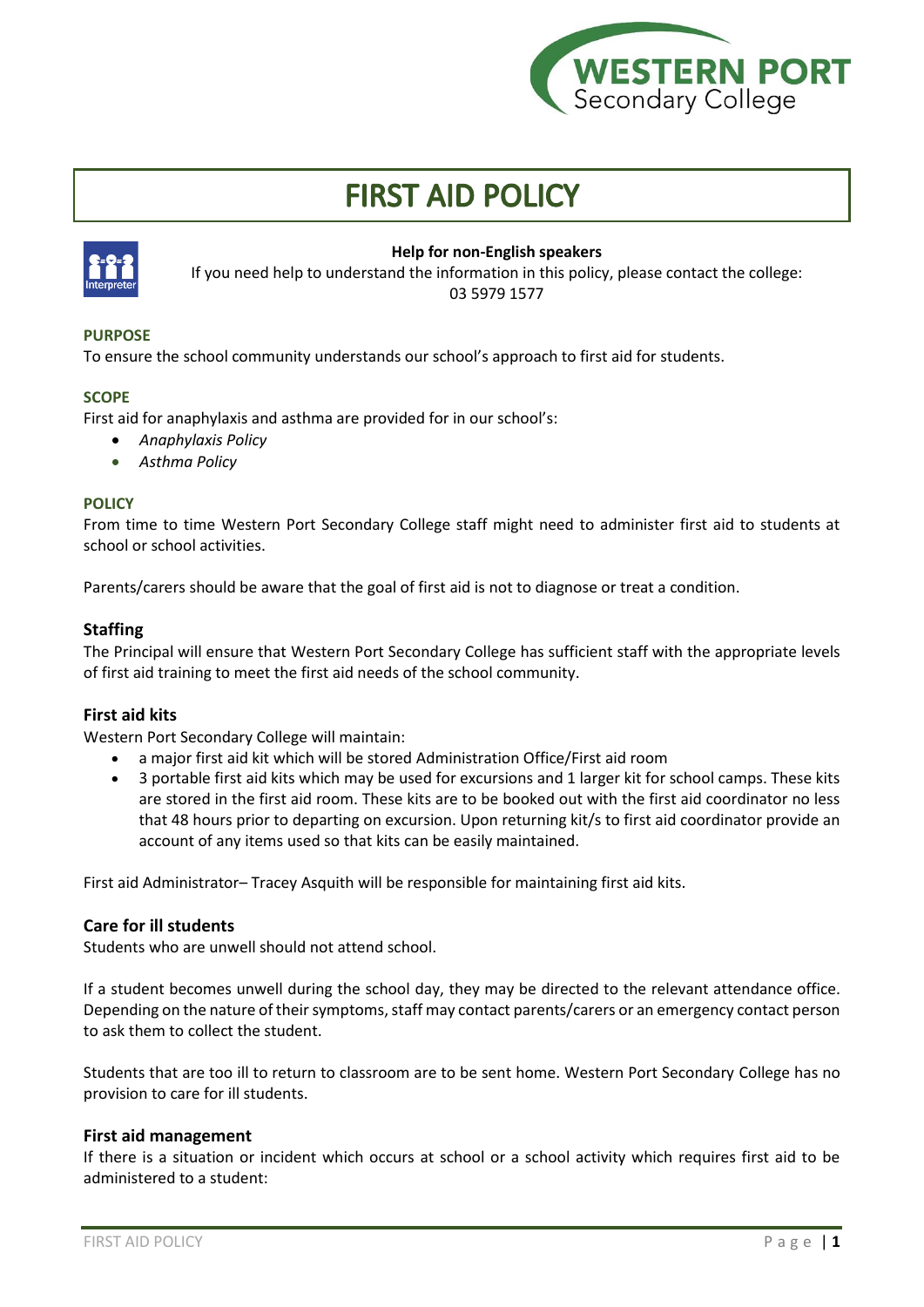

# **FIRST AID POLICY**



## **Help for non-English speakers**

If you need help to understand the information in this policy, please contact the college: 03 5979 1577

## **PURPOSE**

To ensure the school community understands our school's approach to first aid for students.

## **SCOPE**

First aid for anaphylaxis and asthma are provided for in our school's:

- *Anaphylaxis Policy*
- *Asthma Policy*

## **POLICY**

From time to time Western Port Secondary College staff might need to administer first aid to students at school or school activities.

Parents/carers should be aware that the goal of first aid is not to diagnose or treat a condition.

## **Staffing**

The Principal will ensure that Western Port Secondary College has sufficient staff with the appropriate levels of first aid training to meet the first aid needs of the school community.

## **First aid kits**

Western Port Secondary College will maintain:

- a major first aid kit which will be stored Administration Office/First aid room
- 3 portable first aid kits which may be used for excursions and 1 larger kit for school camps. These kits are stored in the first aid room. These kits are to be booked out with the first aid coordinator no less that 48 hours prior to departing on excursion. Upon returning kit/s to first aid coordinator provide an account of any items used so that kits can be easily maintained.

First aid Administrator– Tracey Asquith will be responsible for maintaining first aid kits.

#### **Care for ill students**

Students who are unwell should not attend school.

If a student becomes unwell during the school day, they may be directed to the relevant attendance office. Depending on the nature of their symptoms, staff may contact parents/carers or an emergency contact person to ask them to collect the student.

Students that are too ill to return to classroom are to be sent home. Western Port Secondary College has no provision to care for ill students.

#### **First aid management**

If there is a situation or incident which occurs at school or a school activity which requires first aid to be administered to a student: